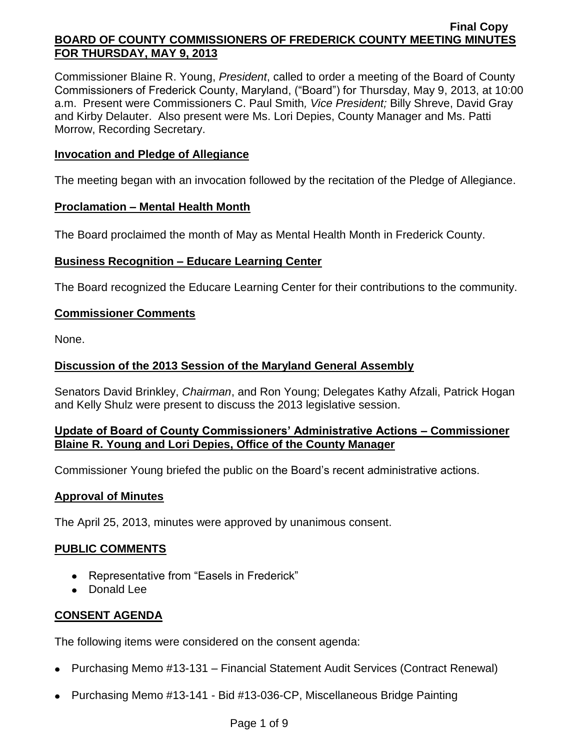Commissioner Blaine R. Young, *President*, called to order a meeting of the Board of County Commissioners of Frederick County, Maryland, ("Board") for Thursday, May 9, 2013, at 10:00 a.m. Present were Commissioners C. Paul Smith*, Vice President;* Billy Shreve, David Gray and Kirby Delauter. Also present were Ms. Lori Depies, County Manager and Ms. Patti Morrow, Recording Secretary.

# **Invocation and Pledge of Allegiance**

The meeting began with an invocation followed by the recitation of the Pledge of Allegiance.

# **Proclamation – Mental Health Month**

The Board proclaimed the month of May as Mental Health Month in Frederick County.

# **Business Recognition – Educare Learning Center**

The Board recognized the Educare Learning Center for their contributions to the community.

# **Commissioner Comments**

None.

# **Discussion of the 2013 Session of the Maryland General Assembly**

Senators David Brinkley, *Chairman*, and Ron Young; Delegates Kathy Afzali, Patrick Hogan and Kelly Shulz were present to discuss the 2013 legislative session.

# **Update of Board of County Commissioners' Administrative Actions – Commissioner Blaine R. Young and Lori Depies, Office of the County Manager**

Commissioner Young briefed the public on the Board's recent administrative actions.

# **Approval of Minutes**

The April 25, 2013, minutes were approved by unanimous consent.

# **PUBLIC COMMENTS**

- Representative from "Easels in Frederick"
- Donald Lee

# **CONSENT AGENDA**

The following items were considered on the consent agenda:

- Purchasing Memo #13-131 Financial Statement Audit Services (Contract Renewal)
- Purchasing Memo #13-141 Bid #13-036-CP, Miscellaneous Bridge Painting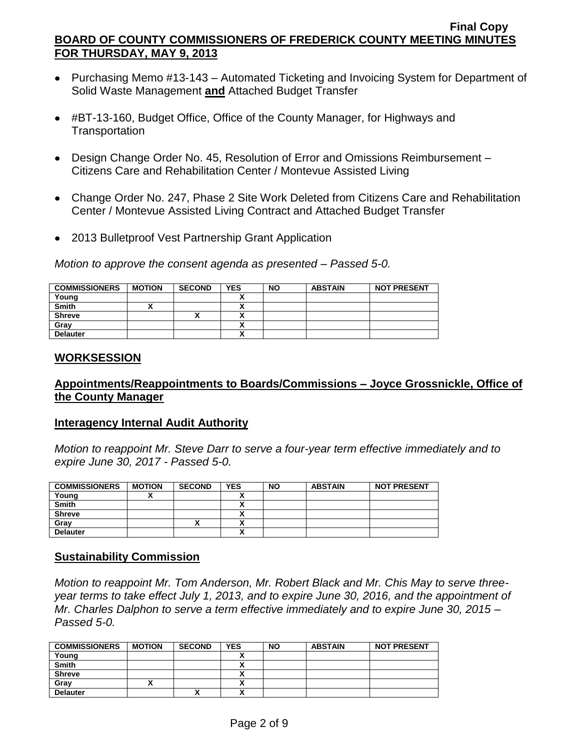- Purchasing Memo #13-143 Automated Ticketing and Invoicing System for Department of Solid Waste Management **and** Attached Budget Transfer
- #BT-13-160, Budget Office, Office of the County Manager, for Highways and **Transportation**
- Design Change Order No. 45, Resolution of Error and Omissions Reimbursement Citizens Care and Rehabilitation Center / Montevue Assisted Living
- Change Order No. 247, Phase 2 Site Work Deleted from Citizens Care and Rehabilitation Center / Montevue Assisted Living Contract and Attached Budget Transfer
- 2013 Bulletproof Vest Partnership Grant Application

*Motion to approve the consent agenda as presented – Passed 5-0.*

| <b>COMMISSIONERS</b> | <b>MOTION</b> | <b>SECOND</b> | <b>YES</b> | <b>NO</b> | <b>ABSTAIN</b> | <b>NOT PRESENT</b> |
|----------------------|---------------|---------------|------------|-----------|----------------|--------------------|
| Young                |               |               |            |           |                |                    |
| <b>Smith</b>         |               |               |            |           |                |                    |
| <b>Shreve</b>        |               | Λ             |            |           |                |                    |
| Grav                 |               |               |            |           |                |                    |
| <b>Delauter</b>      |               |               |            |           |                |                    |

## **WORKSESSION**

## **Appointments/Reappointments to Boards/Commissions – Joyce Grossnickle, Office of the County Manager**

### **Interagency Internal Audit Authority**

*Motion to reappoint Mr. Steve Darr to serve a four-year term effective immediately and to expire June 30, 2017 - Passed 5-0.*

| <b>COMMISSIONERS</b> | <b>MOTION</b> | <b>SECOND</b> | <b>YES</b> | <b>NO</b> | <b>ABSTAIN</b> | <b>NOT PRESENT</b> |
|----------------------|---------------|---------------|------------|-----------|----------------|--------------------|
| Young                |               |               |            |           |                |                    |
| <b>Smith</b>         |               |               | ~          |           |                |                    |
| <b>Shreve</b>        |               |               | ~          |           |                |                    |
| Grav                 |               |               |            |           |                |                    |
| <b>Delauter</b>      |               |               | ^          |           |                |                    |

# **Sustainability Commission**

*Motion to reappoint Mr. Tom Anderson, Mr. Robert Black and Mr. Chis May to serve threeyear terms to take effect July 1, 2013, and to expire June 30, 2016, and the appointment of Mr. Charles Dalphon to serve a term effective immediately and to expire June 30, 2015 – Passed 5-0.*

| <b>COMMISSIONERS</b> | <b>MOTION</b> | <b>SECOND</b> | <b>YES</b> | <b>NO</b> | <b>ABSTAIN</b> | <b>NOT PRESENT</b> |
|----------------------|---------------|---------------|------------|-----------|----------------|--------------------|
| Young                |               |               |            |           |                |                    |
| <b>Smith</b>         |               |               |            |           |                |                    |
| <b>Shreve</b>        |               |               |            |           |                |                    |
| Gray                 |               |               | ,,         |           |                |                    |
| <b>Delauter</b>      |               | '             | ,,         |           |                |                    |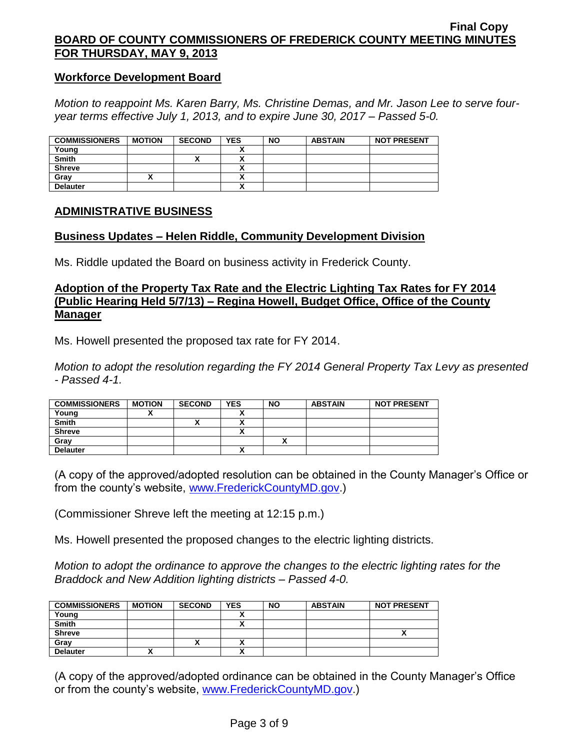## **Workforce Development Board**

*Motion to reappoint Ms. Karen Barry, Ms. Christine Demas, and Mr. Jason Lee to serve fouryear terms effective July 1, 2013, and to expire June 30, 2017 – Passed 5-0.*

| <b>COMMISSIONERS</b> | <b>MOTION</b> | <b>SECOND</b> | <b>YES</b> | <b>NO</b> | <b>ABSTAIN</b> | <b>NOT PRESENT</b> |
|----------------------|---------------|---------------|------------|-----------|----------------|--------------------|
| Young                |               |               |            |           |                |                    |
| <b>Smith</b>         |               | '             |            |           |                |                    |
| <b>Shreve</b>        |               |               |            |           |                |                    |
| Grav                 |               |               | ~          |           |                |                    |
| <b>Delauter</b>      |               |               | ~          |           |                |                    |

## **ADMINISTRATIVE BUSINESS**

## **Business Updates – Helen Riddle, Community Development Division**

Ms. Riddle updated the Board on business activity in Frederick County.

## **Adoption of the Property Tax Rate and the Electric Lighting Tax Rates for FY 2014 (Public Hearing Held 5/7/13) – Regina Howell, Budget Office, Office of the County Manager**

Ms. Howell presented the proposed tax rate for FY 2014.

*Motion to adopt the resolution regarding the FY 2014 General Property Tax Levy as presented - Passed 4-1.*

| <b>COMMISSIONERS</b> | <b>MOTION</b> | <b>SECOND</b> | <b>YES</b> | <b>NO</b> | <b>ABSTAIN</b> | <b>NOT PRESENT</b> |
|----------------------|---------------|---------------|------------|-----------|----------------|--------------------|
| Young                |               |               |            |           |                |                    |
| <b>Smith</b>         |               |               |            |           |                |                    |
| <b>Shreve</b>        |               |               |            |           |                |                    |
| Grav                 |               |               |            |           |                |                    |
| <b>Delauter</b>      |               |               |            |           |                |                    |

(A copy of the approved/adopted resolution can be obtained in the County Manager's Office or from the county's website, [www.FrederickCountyMD.gov.](http://www.frederickcountymd.gov/))

(Commissioner Shreve left the meeting at 12:15 p.m.)

Ms. Howell presented the proposed changes to the electric lighting districts.

*Motion to adopt the ordinance to approve the changes to the electric lighting rates for the Braddock and New Addition lighting districts – Passed 4-0.*

| <b>COMMISSIONERS</b> | <b>MOTION</b> | <b>SECOND</b> | <b>YES</b> | <b>NO</b> | <b>ABSTAIN</b> | <b>NOT PRESENT</b> |
|----------------------|---------------|---------------|------------|-----------|----------------|--------------------|
| Young                |               |               |            |           |                |                    |
| <b>Smith</b>         |               |               |            |           |                |                    |
| <b>Shreve</b>        |               |               |            |           |                |                    |
| Gray                 |               |               |            |           |                |                    |
| <b>Delauter</b>      |               |               |            |           |                |                    |

(A copy of the approved/adopted ordinance can be obtained in the County Manager's Office or from the county's website, [www.FrederickCountyMD.gov.](http://www.frederickcountymd.gov/))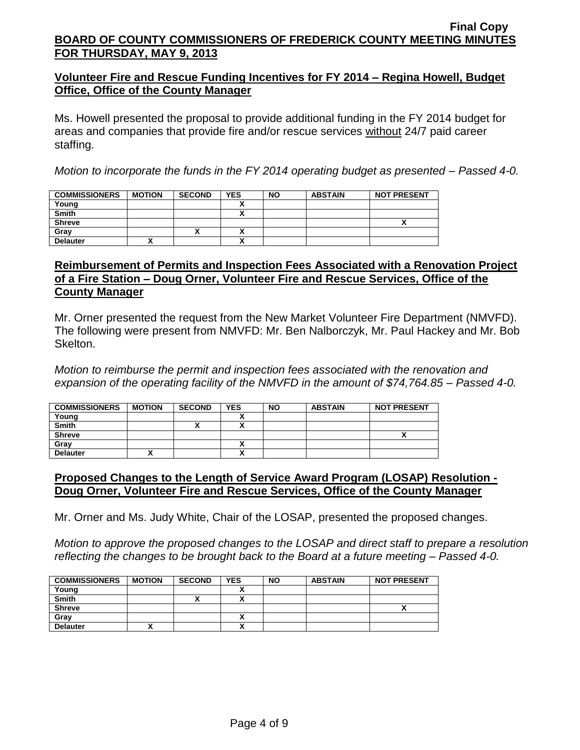# **Volunteer Fire and Rescue Funding Incentives for FY 2014 – Regina Howell, Budget Office, Office of the County Manager**

Ms. Howell presented the proposal to provide additional funding in the FY 2014 budget for areas and companies that provide fire and/or rescue services without 24/7 paid career staffing.

*Motion to incorporate the funds in the FY 2014 operating budget as presented – Passed 4-0.*

| <b>COMMISSIONERS</b> | <b>MOTION</b> | <b>SECOND</b> | <b>YES</b> | <b>NO</b> | <b>ABSTAIN</b> | <b>NOT PRESENT</b> |
|----------------------|---------------|---------------|------------|-----------|----------------|--------------------|
| Young                |               |               |            |           |                |                    |
| <b>Smith</b>         |               |               |            |           |                |                    |
| <b>Shreve</b>        |               |               |            |           |                |                    |
| Gray                 |               | ^             |            |           |                |                    |
| <b>Delauter</b>      |               |               |            |           |                |                    |

# **Reimbursement of Permits and Inspection Fees Associated with a Renovation Project of a Fire Station – Doug Orner, Volunteer Fire and Rescue Services, Office of the County Manager**

Mr. Orner presented the request from the New Market Volunteer Fire Department (NMVFD). The following were present from NMVFD: Mr. Ben Nalborczyk, Mr. Paul Hackey and Mr. Bob Skelton.

*Motion to reimburse the permit and inspection fees associated with the renovation and expansion of the operating facility of the NMVFD in the amount of \$74,764.85 – Passed 4-0.*

| <b>COMMISSIONERS</b> | <b>MOTION</b> | <b>SECOND</b> | <b>YES</b> | <b>NO</b> | <b>ABSTAIN</b> | <b>NOT PRESENT</b> |
|----------------------|---------------|---------------|------------|-----------|----------------|--------------------|
| Young                |               |               |            |           |                |                    |
| <b>Smith</b>         |               |               |            |           |                |                    |
| <b>Shreve</b>        |               |               |            |           |                |                    |
| Gray                 |               |               |            |           |                |                    |
| <b>Delauter</b>      |               |               | n          |           |                |                    |

# **Proposed Changes to the Length of Service Award Program (LOSAP) Resolution - Doug Orner, Volunteer Fire and Rescue Services, Office of the County Manager**

Mr. Orner and Ms. Judy White, Chair of the LOSAP, presented the proposed changes.

*Motion to approve the proposed changes to the LOSAP and direct staff to prepare a resolution reflecting the changes to be brought back to the Board at a future meeting – Passed 4-0.*

| <b>COMMISSIONERS</b> | <b>MOTION</b> | <b>SECOND</b> | YES    | <b>NO</b> | <b>ABSTAIN</b> | <b>NOT PRESENT</b> |
|----------------------|---------------|---------------|--------|-----------|----------------|--------------------|
| Young                |               |               |        |           |                |                    |
| <b>Smith</b>         |               |               |        |           |                |                    |
| <b>Shreve</b>        |               |               |        |           |                | ^                  |
| Gray                 |               |               | v      |           |                |                    |
| <b>Delauter</b>      |               |               | v<br>^ |           |                |                    |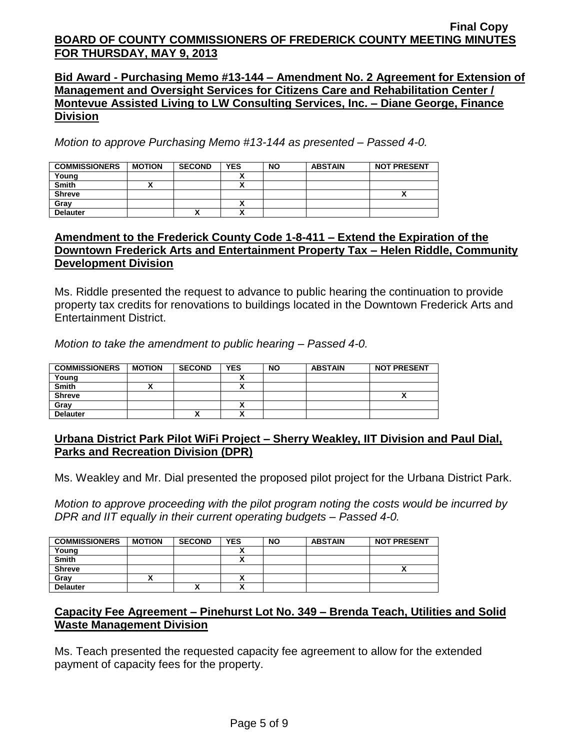**Bid Award - Purchasing Memo #13-144 – Amendment No. 2 Agreement for Extension of Management and Oversight Services for Citizens Care and Rehabilitation Center / Montevue Assisted Living to LW Consulting Services, Inc. – Diane George, Finance Division**

*Motion to approve Purchasing Memo #13-144 as presented – Passed 4-0.*

| <b>COMMISSIONERS</b> | <b>MOTION</b> | <b>SECOND</b> | <b>YES</b> | <b>NO</b> | <b>ABSTAIN</b> | <b>NOT PRESENT</b> |
|----------------------|---------------|---------------|------------|-----------|----------------|--------------------|
| Young                |               |               |            |           |                |                    |
| <b>Smith</b>         |               |               |            |           |                |                    |
| <b>Shreve</b>        |               |               |            |           |                |                    |
| Grav                 |               |               |            |           |                |                    |
| <b>Delauter</b>      |               | Λ             | ↗          |           |                |                    |

# **Amendment to the Frederick County Code 1-8-411 – Extend the Expiration of the Downtown Frederick Arts and Entertainment Property Tax – Helen Riddle, Community Development Division**

Ms. Riddle presented the request to advance to public hearing the continuation to provide property tax credits for renovations to buildings located in the Downtown Frederick Arts and Entertainment District.

*Motion to take the amendment to public hearing – Passed 4-0.*

| <b>COMMISSIONERS</b> | <b>MOTION</b> | <b>SECOND</b> | <b>YES</b> | <b>NO</b> | <b>ABSTAIN</b> | <b>NOT PRESENT</b> |
|----------------------|---------------|---------------|------------|-----------|----------------|--------------------|
| Young                |               |               |            |           |                |                    |
| <b>Smith</b>         |               |               | ,,         |           |                |                    |
| <b>Shreve</b>        |               |               |            |           |                |                    |
| Gray                 |               |               | Λ          |           |                |                    |
| <b>Delauter</b>      |               | $\mathbf{v}$  | ↗          |           |                |                    |

# **Urbana District Park Pilot WiFi Project – Sherry Weakley, IIT Division and Paul Dial, Parks and Recreation Division (DPR)**

Ms. Weakley and Mr. Dial presented the proposed pilot project for the Urbana District Park.

*Motion to approve proceeding with the pilot program noting the costs would be incurred by DPR and IIT equally in their current operating budgets – Passed 4-0.*

| <b>COMMISSIONERS</b> | <b>MOTION</b> | <b>SECOND</b> | <b>YES</b>               | <b>NO</b> | <b>ABSTAIN</b> | <b>NOT PRESENT</b> |
|----------------------|---------------|---------------|--------------------------|-----------|----------------|--------------------|
| Young                |               |               |                          |           |                |                    |
| <b>Smith</b>         |               |               |                          |           |                |                    |
| <b>Shreve</b>        |               |               |                          |           |                |                    |
| Gray                 |               |               |                          |           |                |                    |
| <b>Delauter</b>      |               | $\mathbf{v}$  | $\overline{\phantom{a}}$ |           |                |                    |

# **Capacity Fee Agreement – Pinehurst Lot No. 349 – Brenda Teach, Utilities and Solid Waste Management Division**

Ms. Teach presented the requested capacity fee agreement to allow for the extended payment of capacity fees for the property.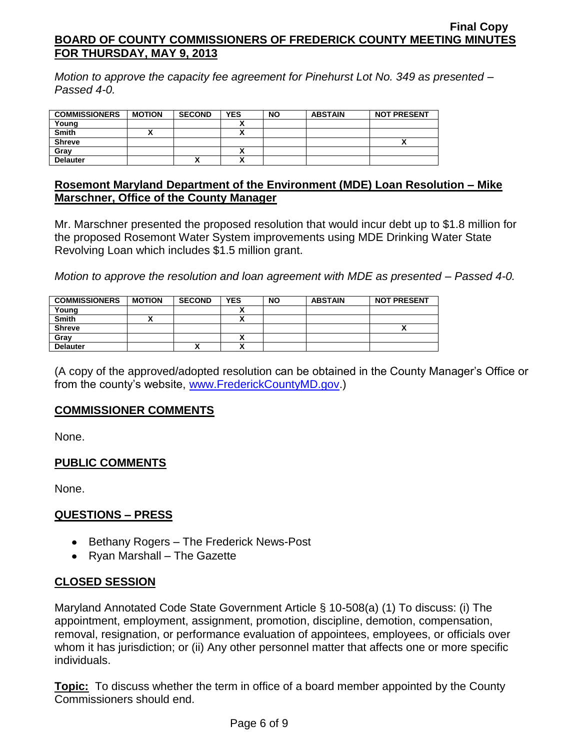*Motion to approve the capacity fee agreement for Pinehurst Lot No. 349 as presented – Passed 4-0.*

| <b>COMMISSIONERS</b> | <b>MOTION</b> | <b>SECOND</b> | <b>YES</b> | <b>NO</b> | <b>ABSTAIN</b> | <b>NOT PRESENT</b> |
|----------------------|---------------|---------------|------------|-----------|----------------|--------------------|
| Young                |               |               |            |           |                |                    |
| <b>Smith</b>         |               |               |            |           |                |                    |
| <b>Shreve</b>        |               |               |            |           |                |                    |
| Grav                 |               |               |            |           |                |                    |
| <b>Delauter</b>      |               | ↗             |            |           |                |                    |

## **Rosemont Maryland Department of the Environment (MDE) Loan Resolution – Mike Marschner, Office of the County Manager**

Mr. Marschner presented the proposed resolution that would incur debt up to \$1.8 million for the proposed Rosemont Water System improvements using MDE Drinking Water State Revolving Loan which includes \$1.5 million grant.

*Motion to approve the resolution and loan agreement with MDE as presented – Passed 4-0.*

| <b>COMMISSIONERS</b> | <b>MOTION</b> | <b>SECOND</b> | <b>YES</b> | <b>NO</b> | <b>ABSTAIN</b> | <b>NOT PRESENT</b> |
|----------------------|---------------|---------------|------------|-----------|----------------|--------------------|
| Young                |               |               |            |           |                |                    |
| <b>Smith</b>         |               |               |            |           |                |                    |
| <b>Shreve</b>        |               |               |            |           |                |                    |
| Gray                 |               |               |            |           |                |                    |
| <b>Delauter</b>      |               | "             |            |           |                |                    |

(A copy of the approved/adopted resolution can be obtained in the County Manager's Office or from the county's website, [www.FrederickCountyMD.gov.](http://www.frederickcountymd.gov/))

# **COMMISSIONER COMMENTS**

None.

# **PUBLIC COMMENTS**

None.

# **QUESTIONS – PRESS**

- Bethany Rogers The Frederick News-Post
- Ryan Marshall The Gazette

# **CLOSED SESSION**

Maryland Annotated Code State Government Article § 10-508(a) (1) To discuss: (i) The appointment, employment, assignment, promotion, discipline, demotion, compensation, removal, resignation, or performance evaluation of appointees, employees, or officials over whom it has jurisdiction; or (ii) Any other personnel matter that affects one or more specific individuals.

**Topic:** To discuss whether the term in office of a board member appointed by the County Commissioners should end.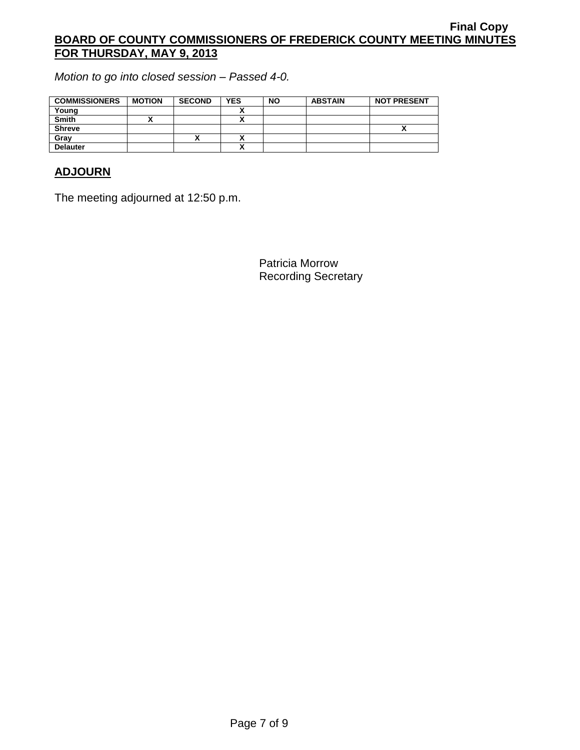*Motion to go into closed session – Passed 4-0.*

| <b>COMMISSIONERS</b> | <b>MOTION</b> | <b>SECOND</b> | <b>YES</b> | <b>NO</b> | <b>ABSTAIN</b> | <b>NOT PRESENT</b> |
|----------------------|---------------|---------------|------------|-----------|----------------|--------------------|
| Young                |               |               |            |           |                |                    |
| <b>Smith</b>         |               |               |            |           |                |                    |
| <b>Shreve</b>        |               |               |            |           |                | Λ                  |
| Gray                 |               |               |            |           |                |                    |
| <b>Delauter</b>      |               |               | `          |           |                |                    |

# **ADJOURN**

The meeting adjourned at 12:50 p.m.

Patricia Morrow Recording Secretary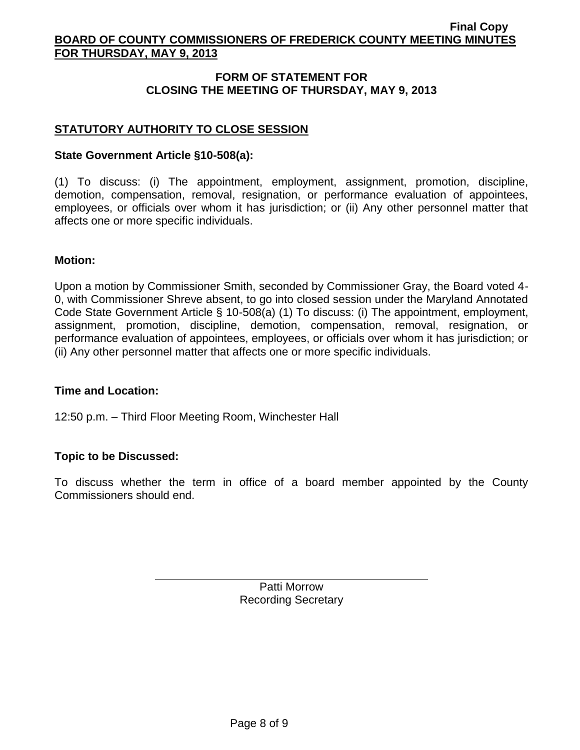# **FORM OF STATEMENT FOR CLOSING THE MEETING OF THURSDAY, MAY 9, 2013**

# **STATUTORY AUTHORITY TO CLOSE SESSION**

## **State Government Article §10-508(a):**

(1) To discuss: (i) The appointment, employment, assignment, promotion, discipline, demotion, compensation, removal, resignation, or performance evaluation of appointees, employees, or officials over whom it has jurisdiction; or (ii) Any other personnel matter that affects one or more specific individuals.

### **Motion:**

Upon a motion by Commissioner Smith, seconded by Commissioner Gray, the Board voted 4- 0, with Commissioner Shreve absent, to go into closed session under the Maryland Annotated Code State Government Article § 10-508(a) (1) To discuss: (i) The appointment, employment, assignment, promotion, discipline, demotion, compensation, removal, resignation, or performance evaluation of appointees, employees, or officials over whom it has jurisdiction; or (ii) Any other personnel matter that affects one or more specific individuals.

### **Time and Location:**

12:50 p.m. – Third Floor Meeting Room, Winchester Hall

# **Topic to be Discussed:**

To discuss whether the term in office of a board member appointed by the County Commissioners should end.

> Patti Morrow Recording Secretary